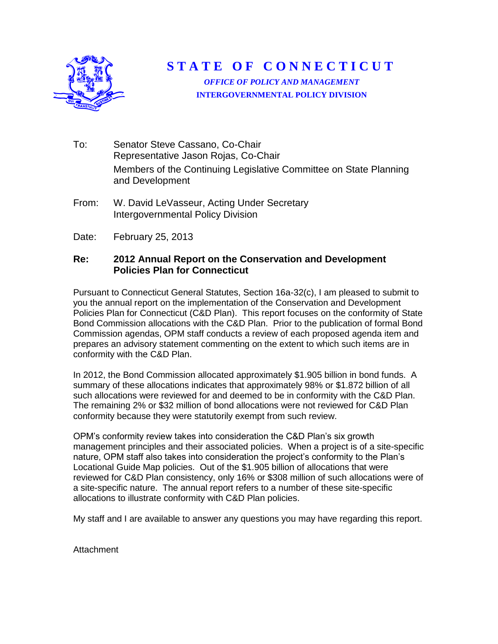

**STATE OF CONNECTICUT** 

*OFFICE OF POLICY AND MANAGEMENT* **INTERGOVERNMENTAL POLICY DIVISION**

- To: Senator Steve Cassano, Co-Chair Representative Jason Rojas, Co-Chair Members of the Continuing Legislative Committee on State Planning and Development
- From: W. David LeVasseur, Acting Under Secretary Intergovernmental Policy Division
- Date: February 25, 2013

#### **Re: 2012 Annual Report on the Conservation and Development Policies Plan for Connecticut**

Pursuant to Connecticut General Statutes, Section 16a-32(c), I am pleased to submit to you the annual report on the implementation of the Conservation and Development Policies Plan for Connecticut (C&D Plan). This report focuses on the conformity of State Bond Commission allocations with the C&D Plan. Prior to the publication of formal Bond Commission agendas, OPM staff conducts a review of each proposed agenda item and prepares an advisory statement commenting on the extent to which such items are in conformity with the C&D Plan.

In 2012, the Bond Commission allocated approximately \$1.905 billion in bond funds. A summary of these allocations indicates that approximately 98% or \$1.872 billion of all such allocations were reviewed for and deemed to be in conformity with the C&D Plan. The remaining 2% or \$32 million of bond allocations were not reviewed for C&D Plan conformity because they were statutorily exempt from such review.

OPM's conformity review takes into consideration the C&D Plan's six growth management principles and their associated policies. When a project is of a site-specific nature, OPM staff also takes into consideration the project's conformity to the Plan's Locational Guide Map policies. Out of the \$1.905 billion of allocations that were reviewed for C&D Plan consistency, only 16% or \$308 million of such allocations were of a site-specific nature. The annual report refers to a number of these site-specific allocations to illustrate conformity with C&D Plan policies.

My staff and I are available to answer any questions you may have regarding this report.

**Attachment**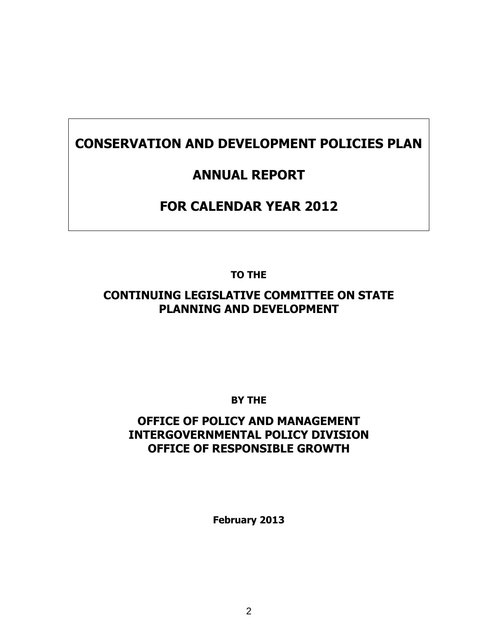# **CONSERVATION AND DEVELOPMENT POLICIES PLAN**

## **ANNUAL REPORT**

# **FOR CALENDAR YEAR 2012**

**TO THE**

### **CONTINUING LEGISLATIVE COMMITTEE ON STATE PLANNING AND DEVELOPMENT**

**BY THE**

### **OFFICE OF POLICY AND MANAGEMENT INTERGOVERNMENTAL POLICY DIVISION OFFICE OF RESPONSIBLE GROWTH**

**February 2013**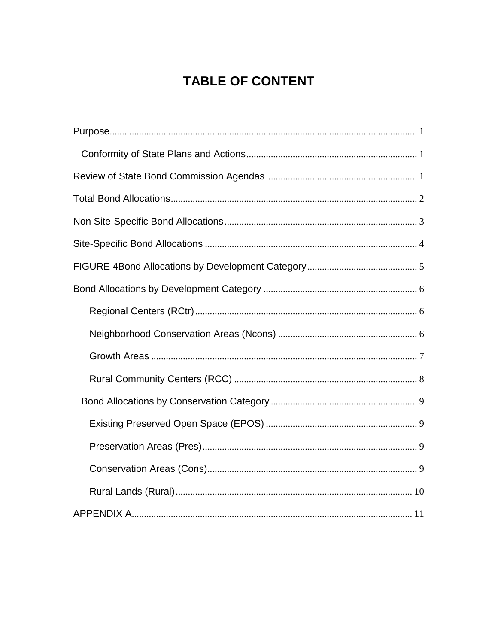# **TABLE OF CONTENT**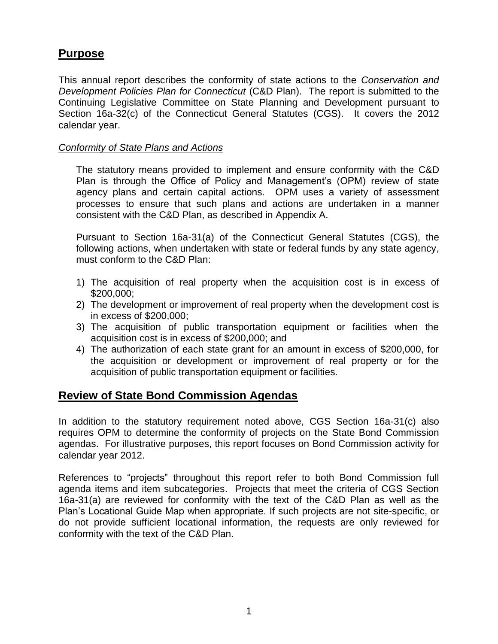### <span id="page-3-0"></span>**Purpose**

This annual report describes the conformity of state actions to the *Conservation and Development Policies Plan for Connecticut* (C&D Plan). The report is submitted to the Continuing Legislative Committee on State Planning and Development pursuant to Section 16a-32(c) of the Connecticut General Statutes (CGS). It covers the 2012 calendar year.

#### <span id="page-3-1"></span>*Conformity of State Plans and Actions*

The statutory means provided to implement and ensure conformity with the C&D Plan is through the Office of Policy and Management's (OPM) review of state agency plans and certain capital actions. OPM uses a variety of assessment processes to ensure that such plans and actions are undertaken in a manner consistent with the C&D Plan, as described in Appendix A.

Pursuant to Section 16a-31(a) of the Connecticut General Statutes (CGS), the following actions, when undertaken with state or federal funds by any state agency, must conform to the C&D Plan:

- 1) The acquisition of real property when the acquisition cost is in excess of \$200,000;
- 2) The development or improvement of real property when the development cost is in excess of \$200,000;
- 3) The acquisition of public transportation equipment or facilities when the acquisition cost is in excess of \$200,000; and
- 4) The authorization of each state grant for an amount in excess of \$200,000, for the acquisition or development or improvement of real property or for the acquisition of public transportation equipment or facilities.

### <span id="page-3-2"></span>**Review of State Bond Commission Agendas**

In addition to the statutory requirement noted above, CGS Section 16a-31(c) also requires OPM to determine the conformity of projects on the State Bond Commission agendas. For illustrative purposes, this report focuses on Bond Commission activity for calendar year 2012.

<span id="page-3-3"></span>References to "projects" throughout this report refer to both Bond Commission full agenda items and item subcategories. Projects that meet the criteria of CGS Section 16a-31(a) are reviewed for conformity with the text of the C&D Plan as well as the Plan's Locational Guide Map when appropriate. If such projects are not site-specific, or do not provide sufficient locational information, the requests are only reviewed for conformity with the text of the C&D Plan.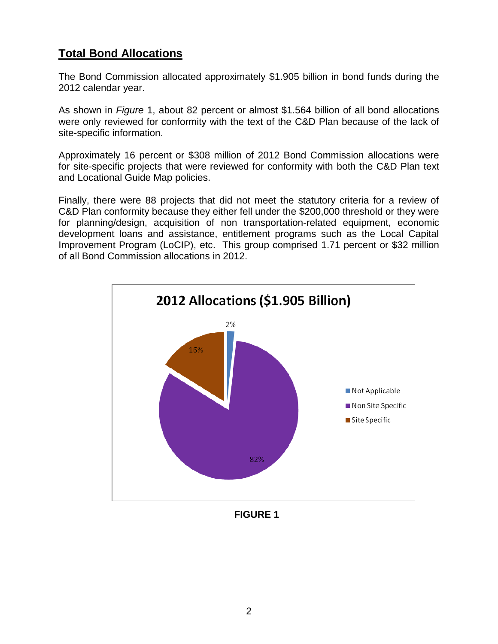### **Total Bond Allocations**

The Bond Commission allocated approximately \$1.905 billion in bond funds during the 2012 calendar year.

As shown in *Figure* 1, about 82 percent or almost \$1.564 billion of all bond allocations were only reviewed for conformity with the text of the C&D Plan because of the lack of site-specific information.

Approximately 16 percent or \$308 million of 2012 Bond Commission allocations were for site-specific projects that were reviewed for conformity with both the C&D Plan text and Locational Guide Map policies.

Finally, there were 88 projects that did not meet the statutory criteria for a review of C&D Plan conformity because they either fell under the \$200,000 threshold or they were for planning/design, acquisition of non transportation-related equipment, economic development loans and assistance, entitlement programs such as the Local Capital Improvement Program (LoCIP), etc. This group comprised 1.71 percent or \$32 million of all Bond Commission allocations in 2012.



**FIGURE 1**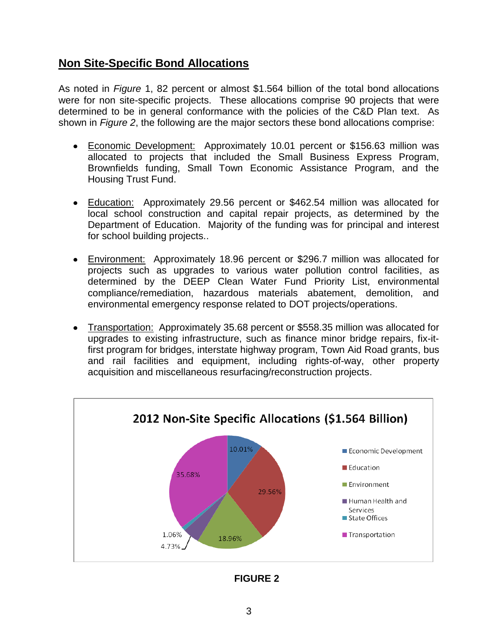### <span id="page-5-0"></span>**Non Site-Specific Bond Allocations**

As noted in *Figure* 1, 82 percent or almost \$1.564 billion of the total bond allocations were for non site-specific projects. These allocations comprise 90 projects that were determined to be in general conformance with the policies of the C&D Plan text. As shown in *Figure 2*, the following are the major sectors these bond allocations comprise:

- Economic Development: Approximately 10.01 percent or \$156.63 million was allocated to projects that included the Small Business Express Program, Brownfields funding, Small Town Economic Assistance Program, and the Housing Trust Fund.
- Education: Approximately 29.56 percent or \$462.54 million was allocated for local school construction and capital repair projects, as determined by the Department of Education. Majority of the funding was for principal and interest for school building projects..
- Environment: Approximately 18.96 percent or \$296.7 million was allocated for projects such as upgrades to various water pollution control facilities, as determined by the DEEP Clean Water Fund Priority List, environmental compliance/remediation, hazardous materials abatement, demolition, and environmental emergency response related to DOT projects/operations.
- Transportation: Approximately 35.68 percent or \$558.35 million was allocated for  $\bullet$ upgrades to existing infrastructure, such as finance minor bridge repairs, fix-itfirst program for bridges, interstate highway program, Town Aid Road grants, bus and rail facilities and equipment, including rights-of-way, other property acquisition and miscellaneous resurfacing/reconstruction projects.



**FIGURE 2**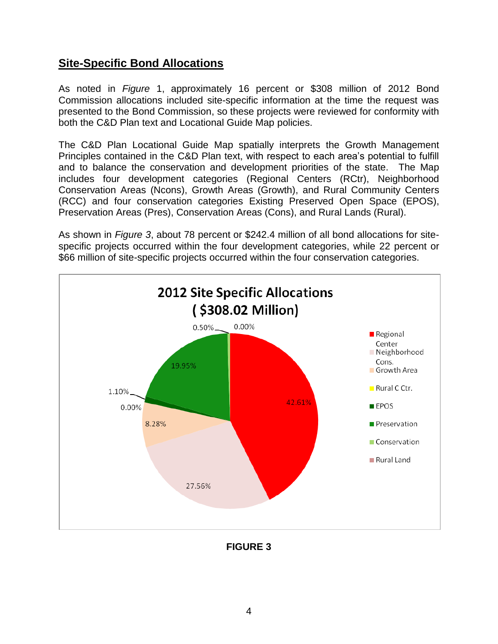### <span id="page-6-0"></span>**Site-Specific Bond Allocations**

As noted in *Figure* 1, approximately 16 percent or \$308 million of 2012 Bond Commission allocations included site-specific information at the time the request was presented to the Bond Commission, so these projects were reviewed for conformity with both the C&D Plan text and Locational Guide Map policies.

The C&D Plan Locational Guide Map spatially interprets the Growth Management Principles contained in the C&D Plan text, with respect to each area's potential to fulfill and to balance the conservation and development priorities of the state. The Map includes four development categories (Regional Centers (RCtr), Neighborhood Conservation Areas (Ncons), Growth Areas (Growth), and Rural Community Centers (RCC) and four conservation categories Existing Preserved Open Space (EPOS), Preservation Areas (Pres), Conservation Areas (Cons), and Rural Lands (Rural).

As shown in *Figure 3*, about 78 percent or \$242.4 million of all bond allocations for sitespecific projects occurred within the four development categories, while 22 percent or \$66 million of site-specific projects occurred within the four conservation categories.



**FIGURE 3**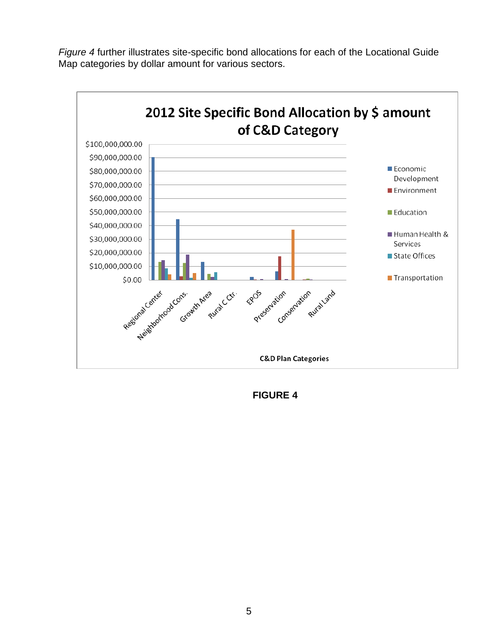

*Figure 4* further illustrates site-specific bond allocations for each of the Locational Guide Map categories by dollar amount for various sectors.

<span id="page-7-0"></span>**FIGURE 4**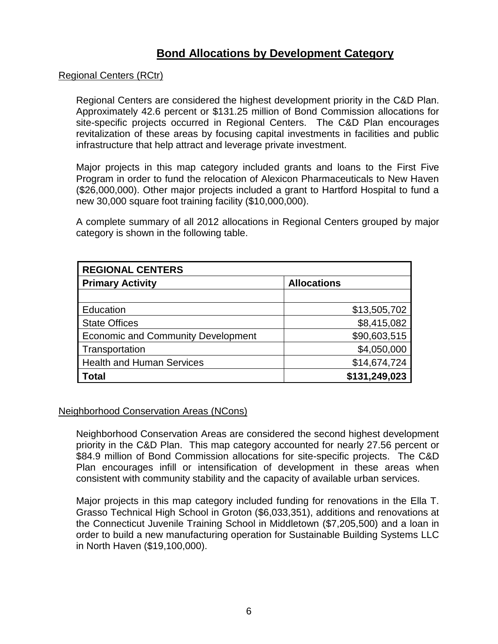### **Bond Allocations by Development Category**

#### <span id="page-8-1"></span><span id="page-8-0"></span>Regional Centers (RCtr)

Regional Centers are considered the highest development priority in the C&D Plan. Approximately 42.6 percent or \$131.25 million of Bond Commission allocations for site-specific projects occurred in Regional Centers. The C&D Plan encourages revitalization of these areas by focusing capital investments in facilities and public infrastructure that help attract and leverage private investment.

Major projects in this map category included grants and loans to the First Five Program in order to fund the relocation of Alexicon Pharmaceuticals to New Haven (\$26,000,000). Other major projects included a grant to Hartford Hospital to fund a new 30,000 square foot training facility (\$10,000,000).

A complete summary of all 2012 allocations in Regional Centers grouped by major category is shown in the following table.

| <b>REGIONAL CENTERS</b>                   |                    |  |
|-------------------------------------------|--------------------|--|
| <b>Primary Activity</b>                   | <b>Allocations</b> |  |
|                                           |                    |  |
| Education                                 | \$13,505,702       |  |
| <b>State Offices</b>                      | \$8,415,082        |  |
| <b>Economic and Community Development</b> | \$90,603,515       |  |
| Transportation                            | \$4,050,000        |  |
| <b>Health and Human Services</b>          | \$14,674,724       |  |
| <b>Total</b>                              | \$131,249,023      |  |

#### <span id="page-8-2"></span>Neighborhood Conservation Areas (NCons)

Neighborhood Conservation Areas are considered the second highest development priority in the C&D Plan. This map category accounted for nearly 27.56 percent or \$84.9 million of Bond Commission allocations for site-specific projects. The C&D Plan encourages infill or intensification of development in these areas when consistent with community stability and the capacity of available urban services.

Major projects in this map category included funding for renovations in the Ella T. Grasso Technical High School in Groton (\$6,033,351), additions and renovations at the Connecticut Juvenile Training School in Middletown (\$7,205,500) and a loan in order to build a new manufacturing operation for Sustainable Building Systems LLC in North Haven (\$19,100,000).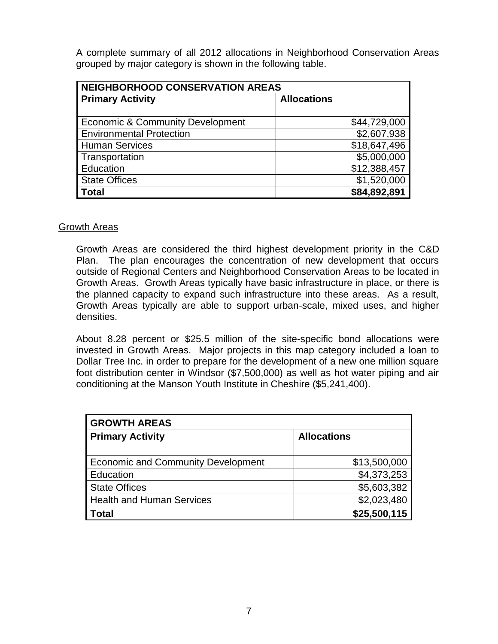A complete summary of all 2012 allocations in Neighborhood Conservation Areas grouped by major category is shown in the following table.

| <b>NEIGHBORHOOD CONSERVATION AREAS</b>      |                    |  |
|---------------------------------------------|--------------------|--|
| <b>Primary Activity</b>                     | <b>Allocations</b> |  |
|                                             |                    |  |
| <b>Economic &amp; Community Development</b> | \$44,729,000       |  |
| <b>Environmental Protection</b>             | \$2,607,938        |  |
| <b>Human Services</b>                       | \$18,647,496       |  |
| Transportation                              | \$5,000,000        |  |
| Education                                   | \$12,388,457       |  |
| <b>State Offices</b>                        | \$1,520,000        |  |
| <b>Total</b>                                | \$84,892,891       |  |

#### <span id="page-9-0"></span>**Growth Areas**

Growth Areas are considered the third highest development priority in the C&D Plan. The plan encourages the concentration of new development that occurs outside of Regional Centers and Neighborhood Conservation Areas to be located in Growth Areas. Growth Areas typically have basic infrastructure in place, or there is the planned capacity to expand such infrastructure into these areas. As a result, Growth Areas typically are able to support urban-scale, mixed uses, and higher densities.

About 8.28 percent or \$25.5 million of the site-specific bond allocations were invested in Growth Areas. Major projects in this map category included a loan to Dollar Tree Inc. in order to prepare for the development of a new one million square foot distribution center in Windsor (\$7,500,000) as well as hot water piping and air conditioning at the Manson Youth Institute in Cheshire (\$5,241,400).

| <b>GROWTH AREAS</b>                       |                    |  |
|-------------------------------------------|--------------------|--|
| <b>Primary Activity</b>                   | <b>Allocations</b> |  |
|                                           |                    |  |
| <b>Economic and Community Development</b> | \$13,500,000       |  |
| Education                                 | \$4,373,253        |  |
| <b>State Offices</b>                      | \$5,603,382        |  |
| <b>Health and Human Services</b>          | \$2,023,480        |  |
| <b>Total</b>                              | \$25,500,115       |  |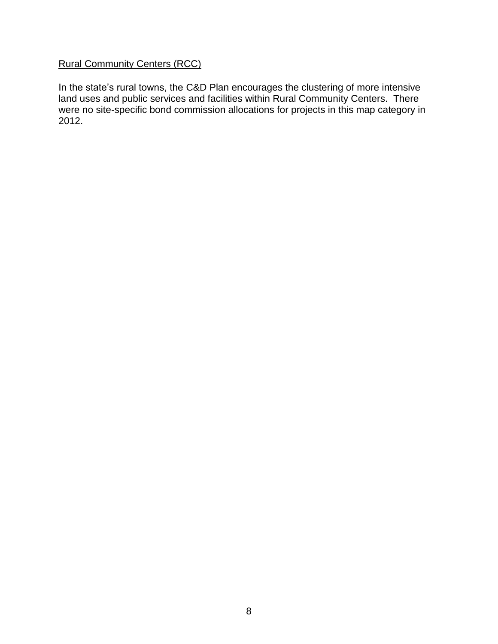### <span id="page-10-0"></span>Rural Community Centers (RCC)

In the state's rural towns, the C&D Plan encourages the clustering of more intensive land uses and public services and facilities within Rural Community Centers. There were no site-specific bond commission allocations for projects in this map category in 2012.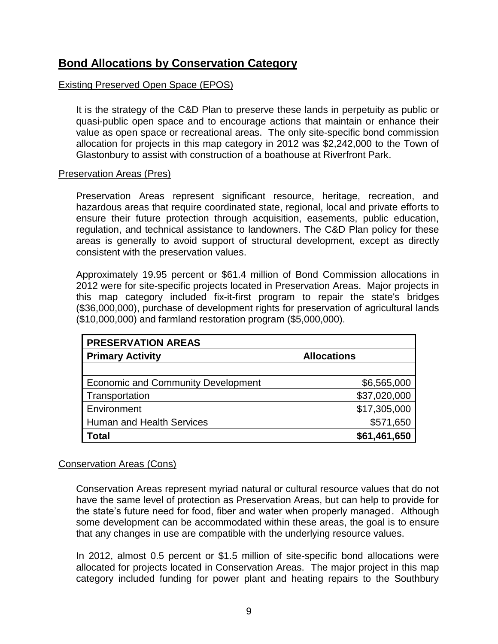### <span id="page-11-0"></span>**Bond Allocations by Conservation Category**

#### <span id="page-11-1"></span>Existing Preserved Open Space (EPOS)

It is the strategy of the C&D Plan to preserve these lands in perpetuity as public or quasi-public open space and to encourage actions that maintain or enhance their value as open space or recreational areas. The only site-specific bond commission allocation for projects in this map category in 2012 was \$2,242,000 to the Town of Glastonbury to assist with construction of a boathouse at Riverfront Park.

#### <span id="page-11-2"></span>Preservation Areas (Pres)

Preservation Areas represent significant resource, heritage, recreation, and hazardous areas that require coordinated state, regional, local and private efforts to ensure their future protection through acquisition, easements, public education, regulation, and technical assistance to landowners. The C&D Plan policy for these areas is generally to avoid support of structural development, except as directly consistent with the preservation values.

Approximately 19.95 percent or \$61.4 million of Bond Commission allocations in 2012 were for site-specific projects located in Preservation Areas. Major projects in this map category included fix-it-first program to repair the state's bridges (\$36,000,000), purchase of development rights for preservation of agricultural lands (\$10,000,000) and farmland restoration program (\$5,000,000).

| <b>PRESERVATION AREAS</b>                 |                    |  |
|-------------------------------------------|--------------------|--|
| <b>Primary Activity</b>                   | <b>Allocations</b> |  |
|                                           |                    |  |
| <b>Economic and Community Development</b> | \$6,565,000        |  |
| Transportation                            | \$37,020,000       |  |
| Environment                               | \$17,305,000       |  |
| <b>Human and Health Services</b>          | \$571,650          |  |
| ⊺otal                                     | \$61,461,650       |  |

#### <span id="page-11-3"></span>Conservation Areas (Cons)

Conservation Areas represent myriad natural or cultural resource values that do not have the same level of protection as Preservation Areas, but can help to provide for the state's future need for food, fiber and water when properly managed. Although some development can be accommodated within these areas, the goal is to ensure that any changes in use are compatible with the underlying resource values.

In 2012, almost 0.5 percent or \$1.5 million of site-specific bond allocations were allocated for projects located in Conservation Areas. The major project in this map category included funding for power plant and heating repairs to the Southbury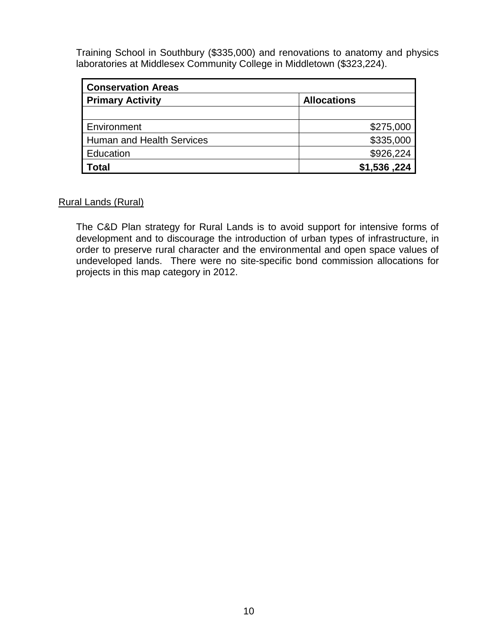Training School in Southbury (\$335,000) and renovations to anatomy and physics laboratories at Middlesex Community College in Middletown (\$323,224).

| <b>Conservation Areas</b> |                    |  |
|---------------------------|--------------------|--|
| <b>Primary Activity</b>   | <b>Allocations</b> |  |
|                           |                    |  |
| Environment               | \$275,000          |  |
| Human and Health Services | \$335,000          |  |
| Education                 | \$926,224          |  |
| <b>Total</b>              | \$1,536,224        |  |

#### <span id="page-12-0"></span>Rural Lands (Rural)

The C&D Plan strategy for Rural Lands is to avoid support for intensive forms of development and to discourage the introduction of urban types of infrastructure, in order to preserve rural character and the environmental and open space values of undeveloped lands. There were no site-specific bond commission allocations for projects in this map category in 2012.